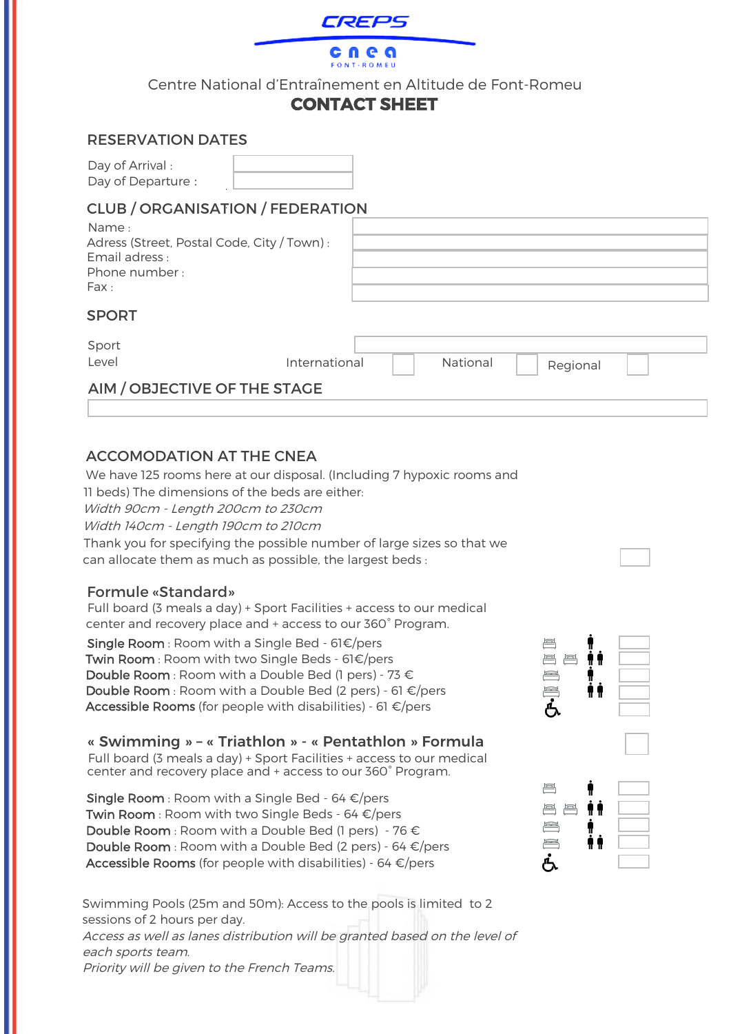

cnea ONT-ROMEU

Centre National d'Entraînement en Altitude de Font-Romeu

# **CONTACT SHEET**

### RESERVATION DATES

Day of Arrival : Day of Departure :

# CLUB / ORGANISATION / FEDERATION

| Name:                                                        |               |          |          |  |
|--------------------------------------------------------------|---------------|----------|----------|--|
| Adress (Street, Postal Code, City / Town) :<br>Email adress: |               |          |          |  |
| Phone number:                                                |               |          |          |  |
| Fax:                                                         |               |          |          |  |
| <b>SPORT</b>                                                 |               |          |          |  |
| Sport                                                        |               |          |          |  |
| Level                                                        | International | National | Regional |  |

# AIM / OBJECTIVE OF THE STAGE

## ACCOMODATION AT THE CNEA

We have 125 rooms here at our disposal. (Including 7 hypoxic rooms and 11 beds) The dimensions of the beds are either: Width 90cm - Length 200cm to 230cm Width 140cm - Length 190cm to 210cm Thank you for specifying the possible number of large sizes so that we can allocate them as much as possible, the largest beds :

### Formule «Standard»

Full board (3 meals a day) + Sport Facilities + access to our medical center and recovery place and + access to our 360° Program.

Single Room : Room with a Single Bed - 61€/pers Twin Room : Room with two Single Beds - 61€/pers **Double Room**: Room with a Double Bed (1 pers) - 73  $\epsilon$ Double Room : Room with a Double Bed (2 pers) - 61 €/pers Accessible Rooms (for people with disabilities) - 61  $\epsilon$ /pers

« Swimming » – « Triathlon » - « Pentathlon » Formula Full board (3 meals a day) + Sport Facilities + access to our medical center and recovery place and + access to our 360° Program.

Single Room : Room with a Single Bed - 64  $\epsilon$ /pers **Twin Room** : Room with two Single Beds - 64  $\epsilon$ /pers **Double Room**: Room with a Double Bed (1 pers) - 76  $\epsilon$ **Double Room**: Room with a Double Bed (2 pers) - 64  $\epsilon$ /pers Accessible Rooms (for people with disabilities) - 64  $\epsilon$ /pers

Swimming Pools (25m and 50m): Access to the pools is limited to 2 sessions of 2 hours per day. Access as well as lanes distribution will be granted based on the level of each sports team. Priority will be given to the French Teams.